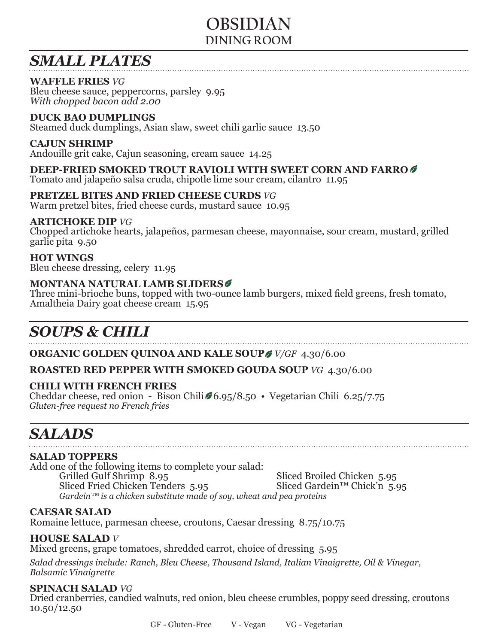# **OBSIDIAN DINING ROOM**

# *SMALL PLATES*

## **WAFFLE FRIES** *VG*

Bleu cheese sauce, peppercorns, parsley 9.95 *With chopped bacon add 2.00*

## **DUCK BAO DUMPLINGS**

Steamed duck dumplings, Asian slaw, sweet chili garlic sauce 13.50

### **CAJUN SHRIMP**

Andouille grit cake, Cajun seasoning, cream sauce 14.25

## **DEEP-FRIED SMOKED TROUT RAVIOLI WITH SWEET CORN AND FARRO**

Tomato and jalapeño salsa cruda, chipotle lime sour cream, cilantro 11.95

### **PRETZEL BITES AND FRIED CHEESE CURDS** *VG*

Warm pretzel bites, fried cheese curds, mustard sauce 10.95

### **ARTICHOKE DIP** *VG*

Chopped artichoke hearts, jalapeños, parmesan cheese, mayonnaise, sour cream, mustard, grilled garlic pita 9.50

### **HOT WINGS**

Bleu cheese dressing, celery 11.95

### **MONTANA NATURAL LAMB SLIDERS**

Three mini-brioche buns, topped with two-ounce lamb burgers, mixed field greens, fresh tomato, Amaltheia Dairy goat cheese cream 15.95

# *SOUPS & CHILI*

**ORGANIC GOLDEN QUINOA AND KALE SOUP** *V/GF* 4.30/6.00

### **ROASTED RED PEPPER WITH SMOKED GOUDA SOUP** *VG* 4.30/6.00

### **CHILI WITH FRENCH FRIES**

Cheddar cheese, red onion - Bison Chili  $6.95/8.50 \cdot$  Vegetarian Chili 6.25/7.75 *Gluten-free request no French fries*

# *SALADS*

### **SALAD TOPPERS**

Add one of the following items to complete your salad:<br>Grilled Gulf Shrimp 8.95 Sliced Broiled Chicken 5.95<br>Sliced Gardein<sup>TM</sup> Chick'n 5.95 Sliced Fried Chicken Tenders 5.95 *Gardein™ is a chicken substitute made of soy, wheat and pea proteins*

### **CAESAR SALAD**

Romaine lettuce, parmesan cheese, croutons, Caesar dressing 8.75/10.75

**HOUSE SALAD** *V*<br>Mixed greens, grape tomatoes, shredded carrot, choice of dressing 5.95

*Salad dressings include: Ranch, Bleu Cheese, Thousand Island, Italian Vinaigrette, Oil & Vinegar, Balsamic Vinaigrette*

**SPINACH SALAD** *VG*<br>Dried cranberries, candied walnuts, red onion, bleu cheese crumbles, poppy seed dressing, croutons  $10.50/12.50$ 

GF - Gluten-Free V - Vegan VG - Vegetarian